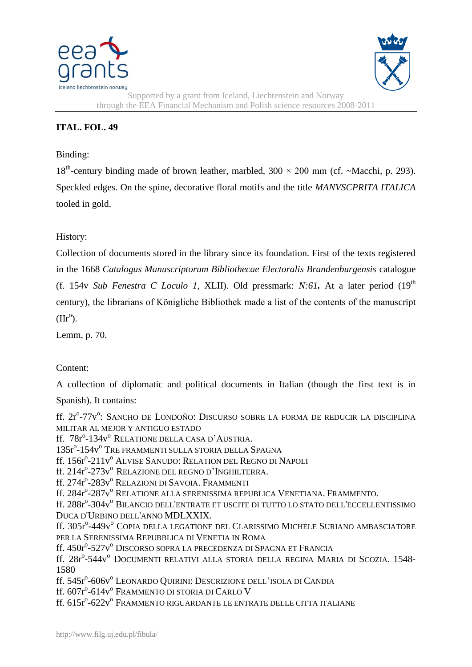



Supported by a grant from Iceland, Liechtenstein and Norway through the EEA Financial Mechanism and Polish science resources 2008-2011

## **ITAL. FOL. 49**

## Binding:

18<sup>th</sup>-century binding made of brown leather, marbled,  $300 \times 200$  mm (cf. ~Macchi, p. 293). Speckled edges. On the spine, decorative floral motifs and the title *MANVSCPRITA ITALICA*  tooled in gold.

History:

Collection of documents stored in the library since its foundation. First of the texts registered in the 1668 *Catalogus Manuscriptorum Bibliothecae Electoralis Brandenburgensis* catalogue (f. 154v *Sub Fenestra C Loculo 1*, XLII). Old pressmark: *N:61.* At a later period (19th century), the librarians of Königliche Bibliothek made a list of the contents of the manuscript  $(IIr^{\circ}).$ 

Lemm, p. 70.

## Content:

A collection of diplomatic and political documents in Italian (though the first text is in

Spanish). It contains:

ff. 2r<sup>o</sup>-77v<sup>o</sup>: Sancho de Londoño: Discurso sobre la forma de reducir la disciplina MILITAR AL MEJOR Y ANTIGUO ESTADO

ff. 78r°-134v° Relatione della casa d'Austria.

135r<sup>o</sup>-154v<sup>o</sup> Tre Frammenti sulla storia della Spagna

ff. 156r°-211v° Alvise Sanudo: Relation del Regno di Napoli

ff. 214r<sup>o</sup>-273v<sup>o</sup> Relazione del regno d'Inghilterra.

ff. 274r°-283v° Relazioni di Savoia. Frammenti

ff. 284r°-287v° Relatione alla serenissima republica Venetiana. Frammento.

ff. 288r°-304v° Bilancio dell'entrate et uscite di tutto lo stato dell'eccellentissimo DUCA D'URBINO DELL'ANNO MDLXXIX.

ff. 305r°-449v° Copia della legatione del Clarissimo Michele Suriano ambasciatore PER LA SERENISSIMA REPUBBLICA DI VENETIA IN ROMA

ff. 450r°-527v° Discorso sopra la precedenza di Spagna et Francia

ff. 28r<sup>o</sup>-544v<sup>o</sup> Documenti relativi alla storia della regina Maria di Scozia. 1548-1580

ff. 545r°-606v° Leonardo Quirini: Descrizione dell'isola di Candia

ff. 607rº-614vº Frammento di storia di Carlo V

ff. 615r°-622v° Frammento riguardante le entrate delle citta italiane